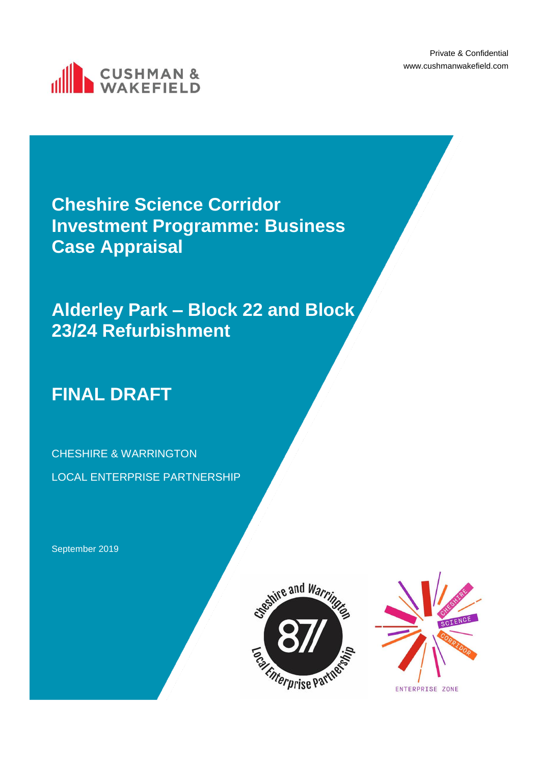Private & Confidential www.cushmanwakefield.com



**Cheshire Science Corridor Investment Programme: Business Case Appraisal**

**Alderley Park – Block 22 and Block 23/24 Refurbishment**

# **FINAL DRAFT**

CHESHIRE & WARRINGTON LOCAL ENTERPRISE PARTNERSHIP

September 2019



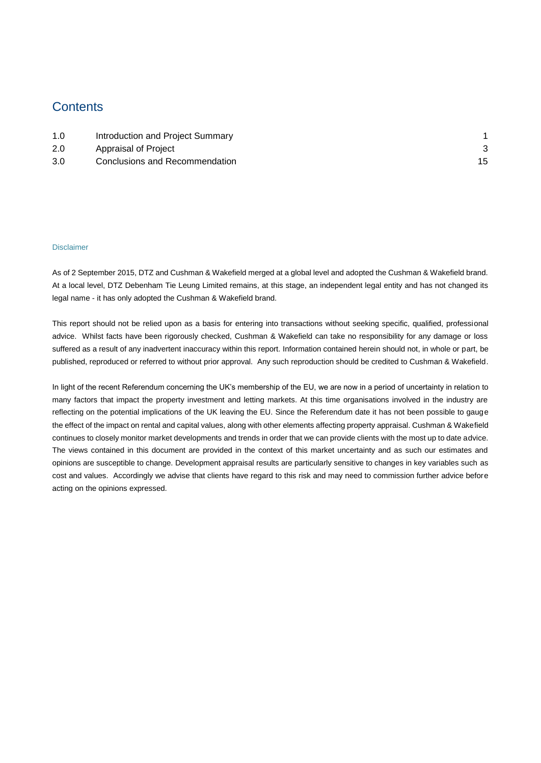# **Contents**

| 1.0 | Introduction and Project Summary |  |
|-----|----------------------------------|--|
| 2.0 | Appraisal of Project             |  |
| 3.0 | Conclusions and Recommendation   |  |

### Disclaimer

As of 2 September 2015, DTZ and Cushman & Wakefield merged at a global level and adopted the Cushman & Wakefield brand. At a local level, DTZ Debenham Tie Leung Limited remains, at this stage, an independent legal entity and has not changed its legal name - it has only adopted the Cushman & Wakefield brand.

This report should not be relied upon as a basis for entering into transactions without seeking specific, qualified, professional advice. Whilst facts have been rigorously checked, Cushman & Wakefield can take no responsibility for any damage or loss suffered as a result of any inadvertent inaccuracy within this report. Information contained herein should not, in whole or part, be published, reproduced or referred to without prior approval. Any such reproduction should be credited to Cushman & Wakefield.

In light of the recent Referendum concerning the UK's membership of the EU, we are now in a period of uncertainty in relation to many factors that impact the property investment and letting markets. At this time organisations involved in the industry are reflecting on the potential implications of the UK leaving the EU. Since the Referendum date it has not been possible to gauge the effect of the impact on rental and capital values, along with other elements affecting property appraisal. Cushman & Wakefield continues to closely monitor market developments and trends in order that we can provide clients with the most up to date advice. The views contained in this document are provided in the context of this market uncertainty and as such our estimates and opinions are susceptible to change. Development appraisal results are particularly sensitive to changes in key variables such as cost and values. Accordingly we advise that clients have regard to this risk and may need to commission further advice before acting on the opinions expressed.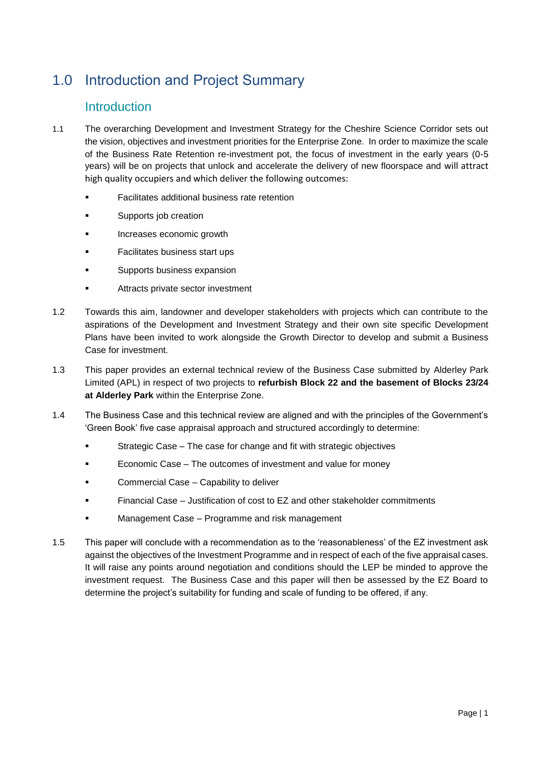# <span id="page-2-0"></span>1.0 Introduction and Project Summary

# Introduction

- 1.1 The overarching Development and Investment Strategy for the Cheshire Science Corridor sets out the vision, objectives and investment priorities for the Enterprise Zone. In order to maximize the scale of the Business Rate Retention re-investment pot, the focus of investment in the early years (0-5 years) will be on projects that unlock and accelerate the delivery of new floorspace and will attract high quality occupiers and which deliver the following outcomes:
	- **Facilitates additional business rate retention**
	- **■** Supports job creation
	- Increases economic growth
	- Facilitates business start ups
	- Supports business expansion
	- Attracts private sector investment
- 1.2 Towards this aim, landowner and developer stakeholders with projects which can contribute to the aspirations of the Development and Investment Strategy and their own site specific Development Plans have been invited to work alongside the Growth Director to develop and submit a Business Case for investment.
- 1.3 This paper provides an external technical review of the Business Case submitted by Alderley Park Limited (APL) in respect of two projects to **refurbish Block 22 and the basement of Blocks 23/24 at Alderley Park** within the Enterprise Zone.
- 1.4 The Business Case and this technical review are aligned and with the principles of the Government's 'Green Book' five case appraisal approach and structured accordingly to determine:
	- Strategic Case The case for change and fit with strategic objectives
	- Economic Case The outcomes of investment and value for money
	- **Commercial Case Capability to deliver**
	- Financial Case Justification of cost to EZ and other stakeholder commitments
	- Management Case Programme and risk management
- 1.5 This paper will conclude with a recommendation as to the 'reasonableness' of the EZ investment ask against the objectives of the Investment Programme and in respect of each of the five appraisal cases. It will raise any points around negotiation and conditions should the LEP be minded to approve the investment request. The Business Case and this paper will then be assessed by the EZ Board to determine the project's suitability for funding and scale of funding to be offered, if any.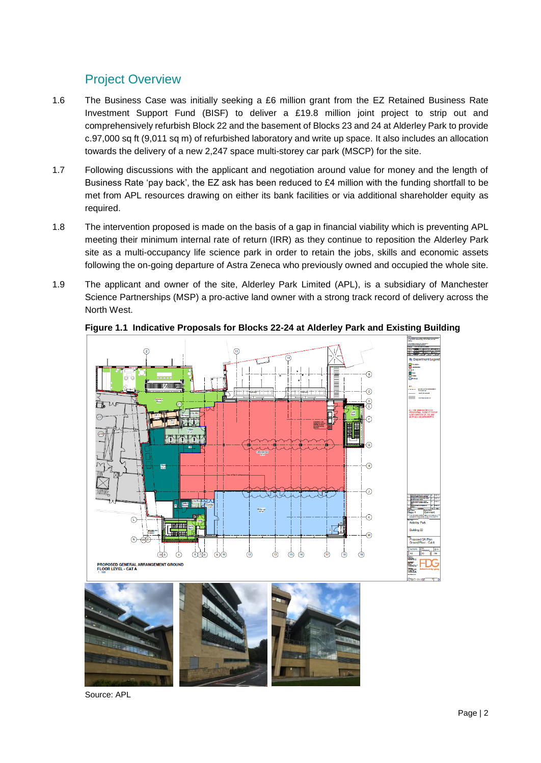# Project Overview

- 1.6 The Business Case was initially seeking a £6 million grant from the EZ Retained Business Rate Investment Support Fund (BISF) to deliver a £19.8 million joint project to strip out and comprehensively refurbish Block 22 and the basement of Blocks 23 and 24 at Alderley Park to provide c.97,000 sq ft (9,011 sq m) of refurbished laboratory and write up space. It also includes an allocation towards the delivery of a new 2,247 space multi-storey car park (MSCP) for the site.
- 1.7 Following discussions with the applicant and negotiation around value for money and the length of Business Rate 'pay back', the EZ ask has been reduced to £4 million with the funding shortfall to be met from APL resources drawing on either its bank facilities or via additional shareholder equity as required.
- 1.8 The intervention proposed is made on the basis of a gap in financial viability which is preventing APL meeting their minimum internal rate of return (IRR) as they continue to reposition the Alderley Park site as a multi-occupancy life science park in order to retain the jobs, skills and economic assets following the on-going departure of Astra Zeneca who previously owned and occupied the whole site.
- 1.9 The applicant and owner of the site, Alderley Park Limited (APL), is a subsidiary of Manchester Science Partnerships (MSP) a pro-active land owner with a strong track record of delivery across the North West.



### **Figure 1.1 Indicative Proposals for Blocks 22-24 at Alderley Park and Existing Building**

Source: APL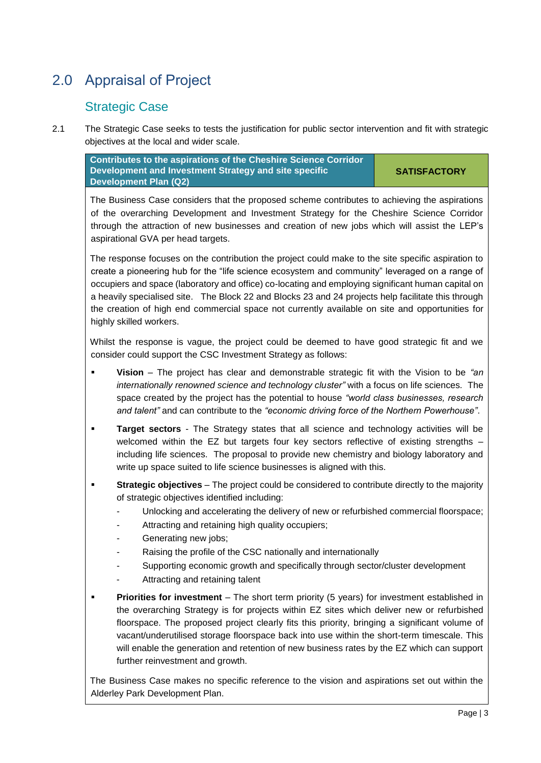# <span id="page-4-0"></span>2.0 Appraisal of Project

# Strategic Case

2.1 The Strategic Case seeks to tests the justification for public sector intervention and fit with strategic objectives at the local and wider scale.

**Contributes to the aspirations of the Cheshire Science Corridor Development and Investment Strategy and site specific Development Plan (Q2)**

**SATISFACTORY**

The Business Case considers that the proposed scheme contributes to achieving the aspirations of the overarching Development and Investment Strategy for the Cheshire Science Corridor through the attraction of new businesses and creation of new jobs which will assist the LEP's aspirational GVA per head targets.

The response focuses on the contribution the project could make to the site specific aspiration to create a pioneering hub for the "life science ecosystem and community" leveraged on a range of occupiers and space (laboratory and office) co-locating and employing significant human capital on a heavily specialised site. The Block 22 and Blocks 23 and 24 projects help facilitate this through the creation of high end commercial space not currently available on site and opportunities for highly skilled workers.

Whilst the response is vague, the project could be deemed to have good strategic fit and we consider could support the CSC Investment Strategy as follows:

- **Vision** The project has clear and demonstrable strategic fit with the Vision to be *"an internationally renowned science and technology cluster"* with a focus on life sciences*.* The space created by the project has the potential to house *"world class businesses, research and talent"* and can contribute to the *"economic driving force of the Northern Powerhouse"*.
- **Target sectors** The Strategy states that all science and technology activities will be welcomed within the EZ but targets four key sectors reflective of existing strengths including life sciences. The proposal to provide new chemistry and biology laboratory and write up space suited to life science businesses is aligned with this.
- **EXECT:** Strategic objectives The project could be considered to contribute directly to the majority of strategic objectives identified including:
	- Unlocking and accelerating the delivery of new or refurbished commercial floorspace;
	- Attracting and retaining high quality occupiers;
	- Generating new jobs;
	- Raising the profile of the CSC nationally and internationally
	- Supporting economic growth and specifically through sector/cluster development
	- Attracting and retaining talent
- **Priorities for investment** The short term priority (5 years) for investment established in the overarching Strategy is for projects within EZ sites which deliver new or refurbished floorspace. The proposed project clearly fits this priority, bringing a significant volume of vacant/underutilised storage floorspace back into use within the short-term timescale. This will enable the generation and retention of new business rates by the EZ which can support further reinvestment and growth.

The Business Case makes no specific reference to the vision and aspirations set out within the Alderley Park Development Plan.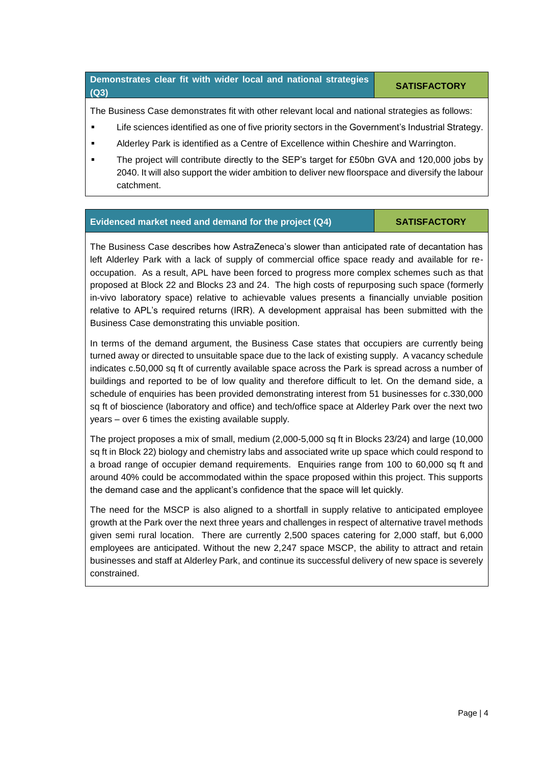# **Demonstrates clear fit with wider local and national strategies (Q3) SATISFACTORY**

The Business Case demonstrates fit with other relevant local and national strategies as follows:

- Life sciences identified as one of five priority sectors in the Government's Industrial Strategy.
- Alderley Park is identified as a Centre of Excellence within Cheshire and Warrington.
- **•** The project will contribute directly to the SEP's target for £50bn GVA and 120,000 jobs by 2040. It will also support the wider ambition to deliver new floorspace and diversify the labour catchment.

### **Evidenced market need and demand for the project (Q4) SATISFACTORY**

The Business Case describes how AstraZeneca's slower than anticipated rate of decantation has left Alderley Park with a lack of supply of commercial office space ready and available for reoccupation. As a result, APL have been forced to progress more complex schemes such as that proposed at Block 22 and Blocks 23 and 24. The high costs of repurposing such space (formerly in-vivo laboratory space) relative to achievable values presents a financially unviable position relative to APL's required returns (IRR). A development appraisal has been submitted with the Business Case demonstrating this unviable position.

In terms of the demand argument, the Business Case states that occupiers are currently being turned away or directed to unsuitable space due to the lack of existing supply. A vacancy schedule indicates c.50,000 sq ft of currently available space across the Park is spread across a number of buildings and reported to be of low quality and therefore difficult to let. On the demand side, a schedule of enquiries has been provided demonstrating interest from 51 businesses for c.330,000 sq ft of bioscience (laboratory and office) and tech/office space at Alderley Park over the next two years – over 6 times the existing available supply.

The project proposes a mix of small, medium (2,000-5,000 sq ft in Blocks 23/24) and large (10,000 sq ft in Block 22) biology and chemistry labs and associated write up space which could respond to a broad range of occupier demand requirements. Enquiries range from 100 to 60,000 sq ft and around 40% could be accommodated within the space proposed within this project. This supports the demand case and the applicant's confidence that the space will let quickly.

The need for the MSCP is also aligned to a shortfall in supply relative to anticipated employee growth at the Park over the next three years and challenges in respect of alternative travel methods given semi rural location. There are currently 2,500 spaces catering for 2,000 staff, but 6,000 employees are anticipated. Without the new 2,247 space MSCP, the ability to attract and retain businesses and staff at Alderley Park, and continue its successful delivery of new space is severely constrained.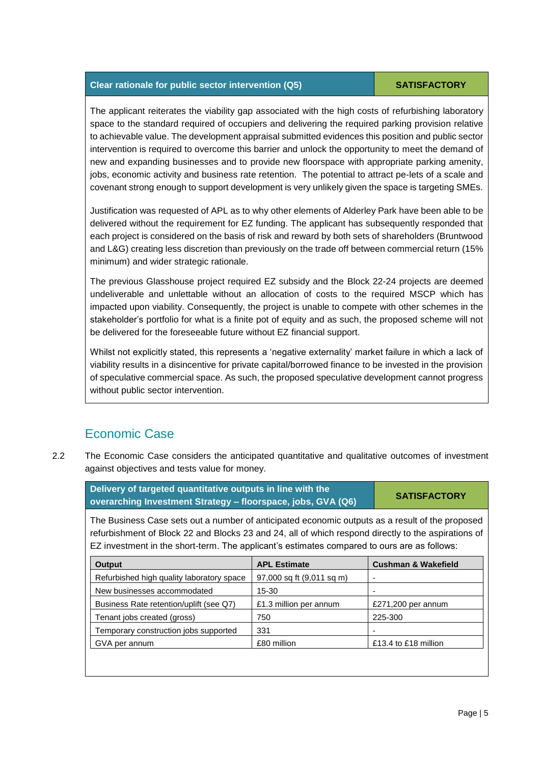### **Clear rationale for public sector intervention (Q5) SATISFACTORY**

The applicant reiterates the viability gap associated with the high costs of refurbishing laboratory space to the standard required of occupiers and delivering the required parking provision relative to achievable value. The development appraisal submitted evidences this position and public sector intervention is required to overcome this barrier and unlock the opportunity to meet the demand of new and expanding businesses and to provide new floorspace with appropriate parking amenity, jobs, economic activity and business rate retention. The potential to attract pe-lets of a scale and covenant strong enough to support development is very unlikely given the space is targeting SMEs.

Justification was requested of APL as to why other elements of Alderley Park have been able to be delivered without the requirement for EZ funding. The applicant has subsequently responded that each project is considered on the basis of risk and reward by both sets of shareholders (Bruntwood and L&G) creating less discretion than previously on the trade off between commercial return (15% minimum) and wider strategic rationale.

The previous Glasshouse project required EZ subsidy and the Block 22-24 projects are deemed undeliverable and unlettable without an allocation of costs to the required MSCP which has impacted upon viability. Consequently, the project is unable to compete with other schemes in the stakeholder's portfolio for what is a finite pot of equity and as such, the proposed scheme will not be delivered for the foreseeable future without EZ financial support.

Whilst not explicitly stated, this represents a 'negative externality' market failure in which a lack of viability results in a disincentive for private capital/borrowed finance to be invested in the provision of speculative commercial space. As such, the proposed speculative development cannot progress without public sector intervention.

# Economic Case

2.2 The Economic Case considers the anticipated quantitative and qualitative outcomes of investment against objectives and tests value for money.

| Delivery of targeted quantitative outputs in line with the<br>overarching Investment Strategy - floorspace, jobs, GVA (Q6) | <b>SATISFACTORY</b> |  |
|----------------------------------------------------------------------------------------------------------------------------|---------------------|--|
|                                                                                                                            |                     |  |

The Business Case sets out a number of anticipated economic outputs as a result of the proposed refurbishment of Block 22 and Blocks 23 and 24, all of which respond directly to the aspirations of EZ investment in the short-term. The applicant's estimates compared to ours are as follows:

| <b>Output</b>                             | <b>APL Estimate</b>       | <b>Cushman &amp; Wakefield</b> |
|-------------------------------------------|---------------------------|--------------------------------|
| Refurbished high quality laboratory space | 97,000 sq ft (9,011 sq m) |                                |
| New businesses accommodated               | 15-30                     |                                |
| Business Rate retention/uplift (see Q7)   | £1.3 million per annum    | £271,200 per annum             |
| Tenant jobs created (gross)               | 750                       | 225-300                        |
| Temporary construction jobs supported     | 331                       |                                |
| GVA per annum                             | £80 million               | £13.4 to £18 million           |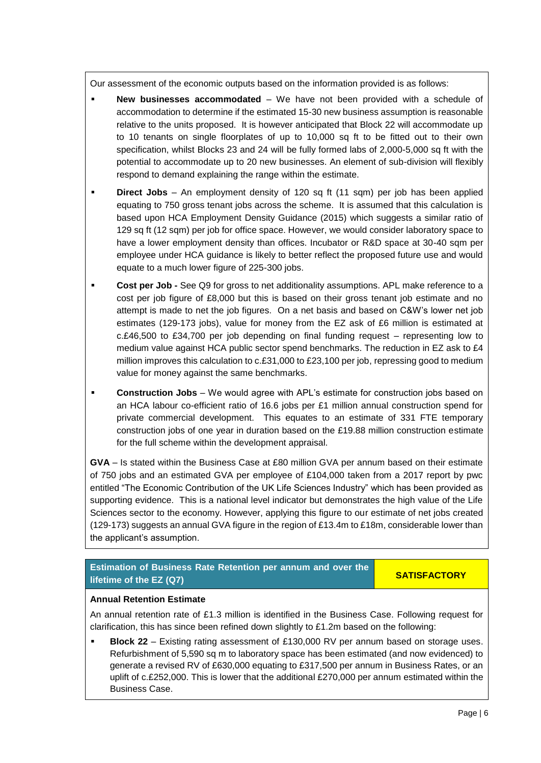Our assessment of the economic outputs based on the information provided is as follows:

- **New businesses accommodated** We have not been provided with a schedule of accommodation to determine if the estimated 15-30 new business assumption is reasonable relative to the units proposed. It is however anticipated that Block 22 will accommodate up to 10 tenants on single floorplates of up to 10,000 sq ft to be fitted out to their own specification, whilst Blocks 23 and 24 will be fully formed labs of 2,000-5,000 sq ft with the potential to accommodate up to 20 new businesses. An element of sub-division will flexibly respond to demand explaining the range within the estimate.
- **Direct Jobs** An employment density of 120 sq ft (11 sqm) per job has been applied equating to 750 gross tenant jobs across the scheme. It is assumed that this calculation is based upon HCA Employment Density Guidance (2015) which suggests a similar ratio of 129 sq ft (12 sqm) per job for office space. However, we would consider laboratory space to have a lower employment density than offices. Incubator or R&D space at 30-40 sqm per employee under HCA guidance is likely to better reflect the proposed future use and would equate to a much lower figure of 225-300 jobs.
- **Cost per Job -** See Q9 for gross to net additionality assumptions. APL make reference to a cost per job figure of £8,000 but this is based on their gross tenant job estimate and no attempt is made to net the job figures. On a net basis and based on C&W's lower net job estimates (129-173 jobs), value for money from the EZ ask of £6 million is estimated at c.£46,500 to £34,700 per job depending on final funding request – representing low to medium value against HCA public sector spend benchmarks. The reduction in EZ ask to £4 million improves this calculation to c.£31,000 to £23,100 per job, repressing good to medium value for money against the same benchmarks.
- **Construction Jobs** We would agree with APL's estimate for construction jobs based on an HCA labour co-efficient ratio of 16.6 jobs per £1 million annual construction spend for private commercial development. This equates to an estimate of 331 FTE temporary construction jobs of one year in duration based on the £19.88 million construction estimate for the full scheme within the development appraisal.

**GVA** – Is stated within the Business Case at £80 million GVA per annum based on their estimate of 750 jobs and an estimated GVA per employee of £104,000 taken from a 2017 report by pwc entitled "The Economic Contribution of the UK Life Sciences Industry" which has been provided as supporting evidence. This is a national level indicator but demonstrates the high value of the Life Sciences sector to the economy. However, applying this figure to our estimate of net jobs created (129-173) suggests an annual GVA figure in the region of £13.4m to £18m, considerable lower than the applicant's assumption.

## **Estimation of Business Rate Retention per annum and over the lifetime of the EZ (Q7) SATISFACTORY**

### **Annual Retention Estimate**

An annual retention rate of £1.3 million is identified in the Business Case. Following request for clarification, this has since been refined down slightly to £1.2m based on the following:

**Block 22** – Existing rating assessment of £130,000 RV per annum based on storage uses. Refurbishment of 5,590 sq m to laboratory space has been estimated (and now evidenced) to generate a revised RV of £630,000 equating to £317,500 per annum in Business Rates, or an uplift of c.£252,000. This is lower that the additional £270,000 per annum estimated within the Business Case.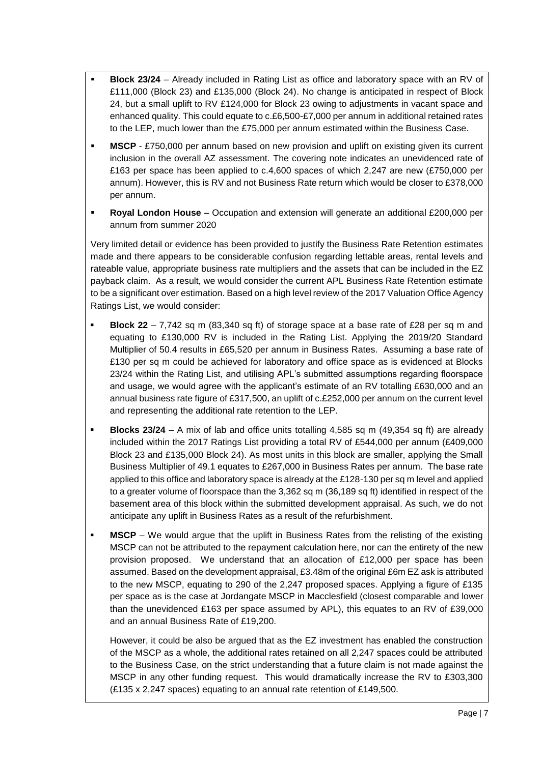- **Block 23/24** Already included in Rating List as office and laboratory space with an RV of £111,000 (Block 23) and £135,000 (Block 24). No change is anticipated in respect of Block 24, but a small uplift to RV £124,000 for Block 23 owing to adjustments in vacant space and enhanced quality. This could equate to c.£6,500-£7,000 per annum in additional retained rates to the LEP, much lower than the £75,000 per annum estimated within the Business Case.
- **MSCP** £750,000 per annum based on new provision and uplift on existing given its current inclusion in the overall AZ assessment. The covering note indicates an unevidenced rate of £163 per space has been applied to c.4,600 spaces of which 2,247 are new (£750,000 per annum). However, this is RV and not Business Rate return which would be closer to £378,000 per annum.
- **Royal London House** Occupation and extension will generate an additional £200,000 per annum from summer 2020

Very limited detail or evidence has been provided to justify the Business Rate Retention estimates made and there appears to be considerable confusion regarding lettable areas, rental levels and rateable value, appropriate business rate multipliers and the assets that can be included in the EZ payback claim. As a result, we would consider the current APL Business Rate Retention estimate to be a significant over estimation. Based on a high level review of the 2017 Valuation Office Agency Ratings List, we would consider:

- **Block 22** 7,742 sq m (83,340 sq ft) of storage space at a base rate of £28 per sq m and equating to £130,000 RV is included in the Rating List. Applying the 2019/20 Standard Multiplier of 50.4 results in £65,520 per annum in Business Rates. Assuming a base rate of £130 per sq m could be achieved for laboratory and office space as is evidenced at Blocks 23/24 within the Rating List, and utilising APL's submitted assumptions regarding floorspace and usage, we would agree with the applicant's estimate of an RV totalling £630,000 and an annual business rate figure of £317,500, an uplift of c.£252,000 per annum on the current level and representing the additional rate retention to the LEP.
- **Blocks 23/24** A mix of lab and office units totalling 4,585 sq m (49,354 sq ft) are already included within the 2017 Ratings List providing a total RV of £544,000 per annum (£409,000 Block 23 and £135,000 Block 24). As most units in this block are smaller, applying the Small Business Multiplier of 49.1 equates to £267,000 in Business Rates per annum. The base rate applied to this office and laboratory space is already at the £128-130 per sq m level and applied to a greater volume of floorspace than the 3,362 sq m (36,189 sq ft) identified in respect of the basement area of this block within the submitted development appraisal. As such, we do not anticipate any uplift in Business Rates as a result of the refurbishment.
- **MSCP** We would argue that the uplift in Business Rates from the relisting of the existing MSCP can not be attributed to the repayment calculation here, nor can the entirety of the new provision proposed. We understand that an allocation of £12,000 per space has been assumed. Based on the development appraisal, £3.48m of the original £6m EZ ask is attributed to the new MSCP, equating to 290 of the 2,247 proposed spaces. Applying a figure of £135 per space as is the case at Jordangate MSCP in Macclesfield (closest comparable and lower than the unevidenced £163 per space assumed by APL), this equates to an RV of £39,000 and an annual Business Rate of £19,200.

However, it could be also be argued that as the EZ investment has enabled the construction of the MSCP as a whole, the additional rates retained on all 2,247 spaces could be attributed to the Business Case, on the strict understanding that a future claim is not made against the MSCP in any other funding request. This would dramatically increase the RV to £303,300 (£135 x 2,247 spaces) equating to an annual rate retention of £149,500.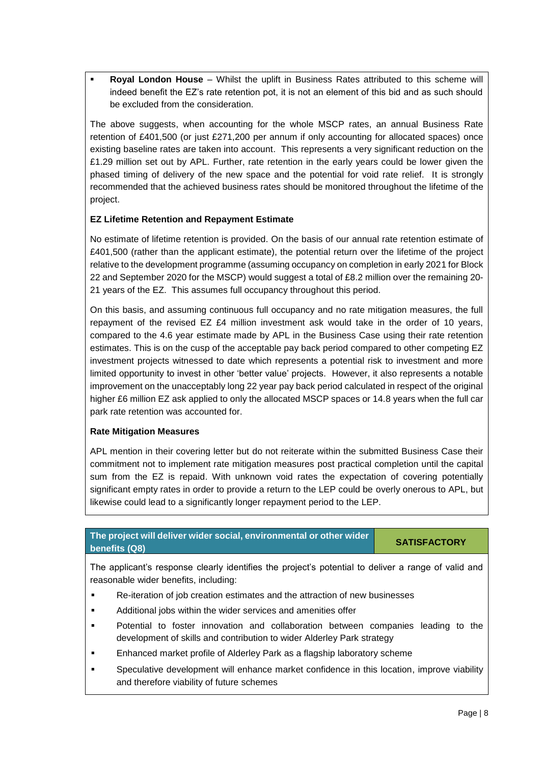**Royal London House** – Whilst the uplift in Business Rates attributed to this scheme will indeed benefit the EZ's rate retention pot, it is not an element of this bid and as such should be excluded from the consideration.

The above suggests, when accounting for the whole MSCP rates, an annual Business Rate retention of £401,500 (or just £271,200 per annum if only accounting for allocated spaces) once existing baseline rates are taken into account. This represents a very significant reduction on the £1.29 million set out by APL. Further, rate retention in the early years could be lower given the phased timing of delivery of the new space and the potential for void rate relief. It is strongly recommended that the achieved business rates should be monitored throughout the lifetime of the project.

### **EZ Lifetime Retention and Repayment Estimate**

No estimate of lifetime retention is provided. On the basis of our annual rate retention estimate of £401,500 (rather than the applicant estimate), the potential return over the lifetime of the project relative to the development programme (assuming occupancy on completion in early 2021 for Block 22 and September 2020 for the MSCP) would suggest a total of £8.2 million over the remaining 20- 21 years of the EZ. This assumes full occupancy throughout this period.

On this basis, and assuming continuous full occupancy and no rate mitigation measures, the full repayment of the revised EZ £4 million investment ask would take in the order of 10 years, compared to the 4.6 year estimate made by APL in the Business Case using their rate retention estimates. This is on the cusp of the acceptable pay back period compared to other competing EZ investment projects witnessed to date which represents a potential risk to investment and more limited opportunity to invest in other 'better value' projects. However, it also represents a notable improvement on the unacceptably long 22 year pay back period calculated in respect of the original higher £6 million EZ ask applied to only the allocated MSCP spaces or 14.8 years when the full car park rate retention was accounted for.

### **Rate Mitigation Measures**

APL mention in their covering letter but do not reiterate within the submitted Business Case their commitment not to implement rate mitigation measures post practical completion until the capital sum from the EZ is repaid. With unknown void rates the expectation of covering potentially significant empty rates in order to provide a return to the LEP could be overly onerous to APL, but likewise could lead to a significantly longer repayment period to the LEP.

# **The project will deliver wider social, environmental or other wider benefits (Q8) SATISFACTORY**

The applicant's response clearly identifies the project's potential to deliver a range of valid and reasonable wider benefits, including:

- Re-iteration of job creation estimates and the attraction of new businesses
- Additional jobs within the wider services and amenities offer
- Potential to foster innovation and collaboration between companies leading to the development of skills and contribution to wider Alderley Park strategy
- Enhanced market profile of Alderley Park as a flagship laboratory scheme
- Speculative development will enhance market confidence in this location, improve viability and therefore viability of future schemes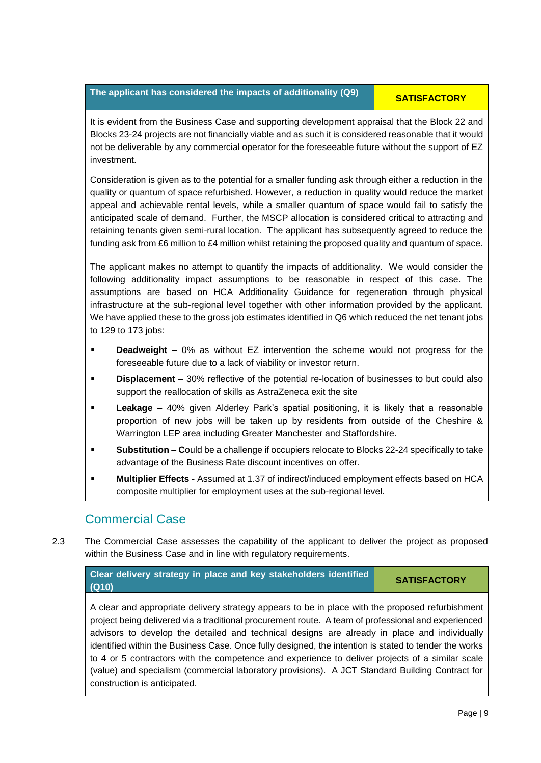# **The applicant has considered the impacts of additionality (Q9) <b>SATISFACTORY**

It is evident from the Business Case and supporting development appraisal that the Block 22 and Blocks 23-24 projects are not financially viable and as such it is considered reasonable that it would not be deliverable by any commercial operator for the foreseeable future without the support of EZ investment.

Consideration is given as to the potential for a smaller funding ask through either a reduction in the quality or quantum of space refurbished. However, a reduction in quality would reduce the market appeal and achievable rental levels, while a smaller quantum of space would fail to satisfy the anticipated scale of demand. Further, the MSCP allocation is considered critical to attracting and retaining tenants given semi-rural location. The applicant has subsequently agreed to reduce the funding ask from £6 million to £4 million whilst retaining the proposed quality and quantum of space.

The applicant makes no attempt to quantify the impacts of additionality. We would consider the following additionality impact assumptions to be reasonable in respect of this case. The assumptions are based on HCA Additionality Guidance for regeneration through physical infrastructure at the sub-regional level together with other information provided by the applicant. We have applied these to the gross job estimates identified in Q6 which reduced the net tenant jobs to 129 to 173 jobs:

- **Deadweight –** 0% as without EZ intervention the scheme would not progress for the foreseeable future due to a lack of viability or investor return.
- **Displacement –** 30% reflective of the potential re-location of businesses to but could also support the reallocation of skills as AstraZeneca exit the site
- **Leakage –** 40% given Alderley Park's spatial positioning, it is likely that a reasonable proportion of new jobs will be taken up by residents from outside of the Cheshire & Warrington LEP area including Greater Manchester and Staffordshire.
- **Substitution Could be a challenge if occupiers relocate to Blocks 22-24 specifically to take** advantage of the Business Rate discount incentives on offer.
- **Multiplier Effects -** Assumed at 1.37 of indirect/induced employment effects based on HCA composite multiplier for employment uses at the sub-regional level.

# Commercial Case

2.3 The Commercial Case assesses the capability of the applicant to deliver the project as proposed within the Business Case and in line with regulatory requirements.

**Clear delivery strategy in place and key stakeholders identified (Q10) SATISFACTORY**

A clear and appropriate delivery strategy appears to be in place with the proposed refurbishment project being delivered via a traditional procurement route. A team of professional and experienced advisors to develop the detailed and technical designs are already in place and individually identified within the Business Case. Once fully designed, the intention is stated to tender the works to 4 or 5 contractors with the competence and experience to deliver projects of a similar scale (value) and specialism (commercial laboratory provisions). A JCT Standard Building Contract for construction is anticipated.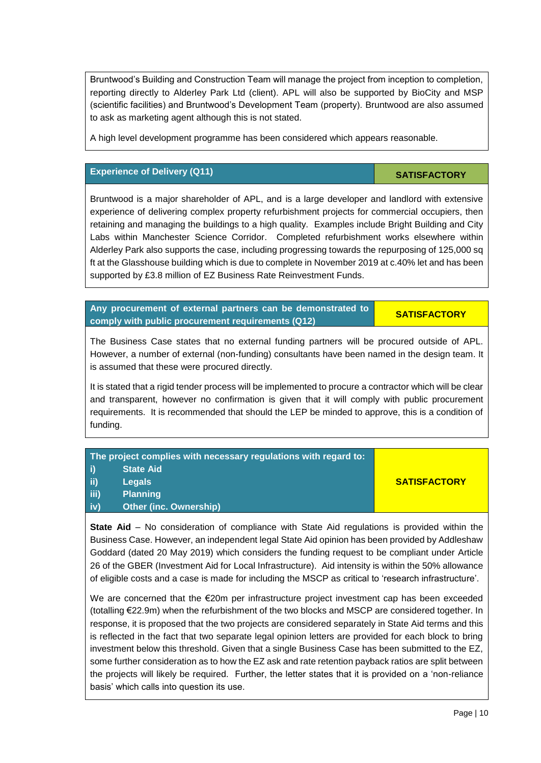Bruntwood's Building and Construction Team will manage the project from inception to completion, reporting directly to Alderley Park Ltd (client). APL will also be supported by BioCity and MSP (scientific facilities) and Bruntwood's Development Team (property). Bruntwood are also assumed to ask as marketing agent although this is not stated.

A high level development programme has been considered which appears reasonable.

### **Experience of Delivery (Q11) SATISFACTORY**

Bruntwood is a major shareholder of APL, and is a large developer and landlord with extensive experience of delivering complex property refurbishment projects for commercial occupiers, then retaining and managing the buildings to a high quality. Examples include Bright Building and City Labs within Manchester Science Corridor. Completed refurbishment works elsewhere within Alderley Park also supports the case, including progressing towards the repurposing of 125,000 sq ft at the Glasshouse building which is due to complete in November 2019 at c.40% let and has been supported by £3.8 million of EZ Business Rate Reinvestment Funds.

**Any procurement of external partners can be demonstrated to comply with public procurement requirements (Q12) SATISFACTORY**

The Business Case states that no external funding partners will be procured outside of APL. However, a number of external (non-funding) consultants have been named in the design team. It is assumed that these were procured directly.

It is stated that a rigid tender process will be implemented to procure a contractor which will be clear and transparent, however no confirmation is given that it will comply with public procurement requirements. It is recommended that should the LEP be minded to approve, this is a condition of funding.

| <b>State Aid</b><br>ii)<br><b>SATISFACTORY</b><br><b>Legals</b> | The project complies with necessary regulations with regard to: |  |
|-----------------------------------------------------------------|-----------------------------------------------------------------|--|
|                                                                 |                                                                 |  |
|                                                                 |                                                                 |  |
| (iii)<br><b>Planning</b>                                        |                                                                 |  |
| <b>Other (inc. Ownership)</b><br>(iv)                           |                                                                 |  |

**State Aid** – No consideration of compliance with State Aid regulations is provided within the Business Case. However, an independent legal State Aid opinion has been provided by Addleshaw Goddard (dated 20 May 2019) which considers the funding request to be compliant under Article 26 of the GBER (Investment Aid for Local Infrastructure). Aid intensity is within the 50% allowance of eligible costs and a case is made for including the MSCP as critical to 'research infrastructure'.

We are concerned that the €20m per infrastructure project investment cap has been exceeded (totalling €22.9m) when the refurbishment of the two blocks and MSCP are considered together. In response, it is proposed that the two projects are considered separately in State Aid terms and this is reflected in the fact that two separate legal opinion letters are provided for each block to bring investment below this threshold. Given that a single Business Case has been submitted to the EZ, some further consideration as to how the EZ ask and rate retention payback ratios are split between the projects will likely be required. Further, the letter states that it is provided on a 'non-reliance basis' which calls into question its use.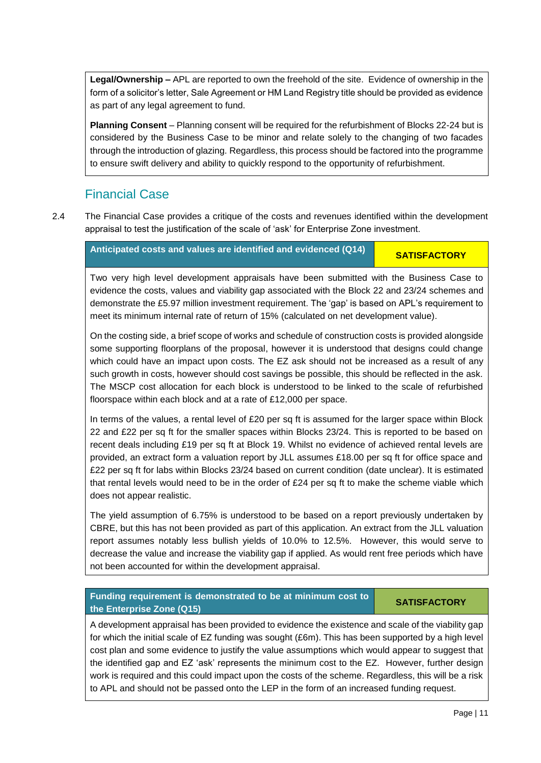**Legal/Ownership –** APL are reported to own the freehold of the site. Evidence of ownership in the form of a solicitor's letter, Sale Agreement or HM Land Registry title should be provided as evidence as part of any legal agreement to fund.

**Planning Consent** – Planning consent will be required for the refurbishment of Blocks 22-24 but is considered by the Business Case to be minor and relate solely to the changing of two facades through the introduction of glazing. Regardless, this process should be factored into the programme to ensure swift delivery and ability to quickly respond to the opportunity of refurbishment.

# Financial Case

2.4 The Financial Case provides a critique of the costs and revenues identified within the development appraisal to test the justification of the scale of 'ask' for Enterprise Zone investment.

**Anticipated costs and values are identified and evidenced (Q14) <b>SATISFACTORY** 

Two very high level development appraisals have been submitted with the Business Case to evidence the costs, values and viability gap associated with the Block 22 and 23/24 schemes and demonstrate the £5.97 million investment requirement. The 'gap' is based on APL's requirement to meet its minimum internal rate of return of 15% (calculated on net development value).

On the costing side, a brief scope of works and schedule of construction costs is provided alongside some supporting floorplans of the proposal, however it is understood that designs could change which could have an impact upon costs. The EZ ask should not be increased as a result of any such growth in costs, however should cost savings be possible, this should be reflected in the ask. The MSCP cost allocation for each block is understood to be linked to the scale of refurbished floorspace within each block and at a rate of £12,000 per space.

In terms of the values, a rental level of £20 per sq ft is assumed for the larger space within Block 22 and £22 per sq ft for the smaller spaces within Blocks 23/24. This is reported to be based on recent deals including £19 per sq ft at Block 19. Whilst no evidence of achieved rental levels are provided, an extract form a valuation report by JLL assumes £18.00 per sq ft for office space and £22 per sq ft for labs within Blocks 23/24 based on current condition (date unclear). It is estimated that rental levels would need to be in the order of £24 per sq ft to make the scheme viable which does not appear realistic.

The yield assumption of 6.75% is understood to be based on a report previously undertaken by CBRE, but this has not been provided as part of this application. An extract from the JLL valuation report assumes notably less bullish yields of 10.0% to 12.5%. However, this would serve to decrease the value and increase the viability gap if applied. As would rent free periods which have not been accounted for within the development appraisal.

### **Funding requirement is demonstrated to be at minimum cost to the Enterprise Zone (Q15) CONSTRUCTORY CONSTRUCTION**

A development appraisal has been provided to evidence the existence and scale of the viability gap for which the initial scale of EZ funding was sought (£6m). This has been supported by a high level cost plan and some evidence to justify the value assumptions which would appear to suggest that the identified gap and EZ 'ask' represents the minimum cost to the EZ. However, further design work is required and this could impact upon the costs of the scheme. Regardless, this will be a risk to APL and should not be passed onto the LEP in the form of an increased funding request.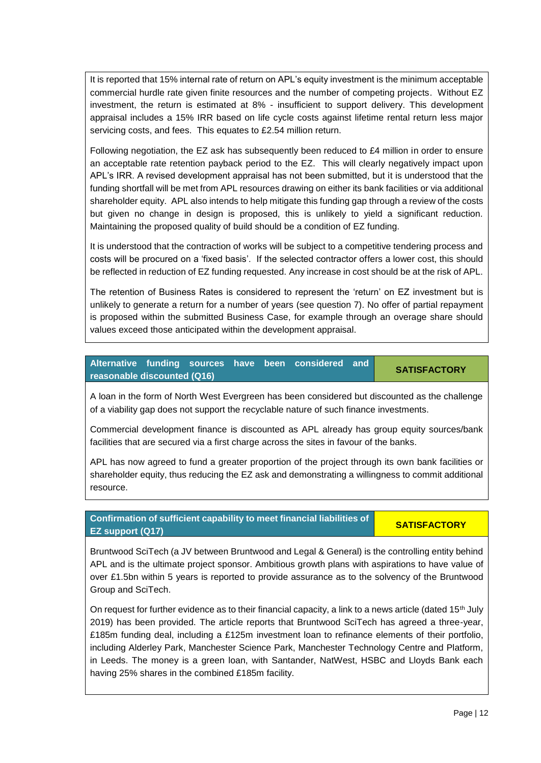It is reported that 15% internal rate of return on APL's equity investment is the minimum acceptable commercial hurdle rate given finite resources and the number of competing projects. Without EZ investment, the return is estimated at 8% - insufficient to support delivery. This development appraisal includes a 15% IRR based on life cycle costs against lifetime rental return less major servicing costs, and fees. This equates to £2.54 million return.

Following negotiation, the EZ ask has subsequently been reduced to £4 million in order to ensure an acceptable rate retention payback period to the EZ. This will clearly negatively impact upon APL's IRR. A revised development appraisal has not been submitted, but it is understood that the funding shortfall will be met from APL resources drawing on either its bank facilities or via additional shareholder equity. APL also intends to help mitigate this funding gap through a review of the costs but given no change in design is proposed, this is unlikely to yield a significant reduction. Maintaining the proposed quality of build should be a condition of EZ funding.

It is understood that the contraction of works will be subject to a competitive tendering process and costs will be procured on a 'fixed basis'. If the selected contractor offers a lower cost, this should be reflected in reduction of EZ funding requested. Any increase in cost should be at the risk of APL.

The retention of Business Rates is considered to represent the 'return' on EZ investment but is unlikely to generate a return for a number of years (see question 7). No offer of partial repayment is proposed within the submitted Business Case, for example through an overage share should values exceed those anticipated within the development appraisal.

|                             |  |  | Alternative funding sources have been considered and | <b>SATISFACTORY</b> |
|-----------------------------|--|--|------------------------------------------------------|---------------------|
| reasonable discounted (Q16) |  |  |                                                      |                     |

A loan in the form of North West Evergreen has been considered but discounted as the challenge of a viability gap does not support the recyclable nature of such finance investments.

Commercial development finance is discounted as APL already has group equity sources/bank facilities that are secured via a first charge across the sites in favour of the banks.

APL has now agreed to fund a greater proportion of the project through its own bank facilities or shareholder equity, thus reducing the EZ ask and demonstrating a willingness to commit additional resource.

**Confirmation of sufficient capability to meet financial liabilities of EZ support (Q17) EXAMPLE 2 SATISFACTORY** 

Bruntwood SciTech (a JV between Bruntwood and Legal & General) is the controlling entity behind APL and is the ultimate project sponsor. Ambitious growth plans with aspirations to have value of over £1.5bn within 5 years is reported to provide assurance as to the solvency of the Bruntwood Group and SciTech.

On request for further evidence as to their financial capacity, a link to a news article (dated 15<sup>th</sup> July 2019) has been provided. The article reports that Bruntwood SciTech has agreed a three-year, £185m funding deal, including a £125m investment loan to refinance elements of their portfolio, including Alderley Park, Manchester Science Park, Manchester Technology Centre and Platform, in Leeds. The money is a green loan, with Santander, NatWest, HSBC and Lloyds Bank each having 25% shares in the combined £185m facility.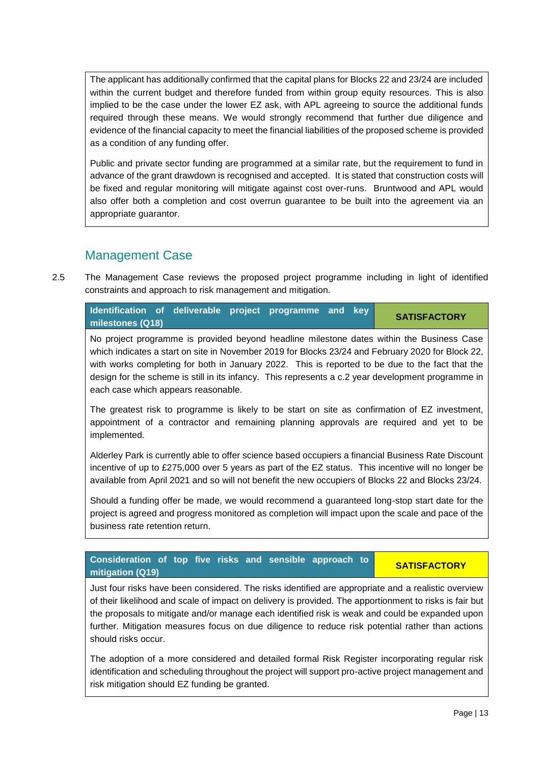The applicant has additionally confirmed that the capital plans for Blocks 22 and 23/24 are included within the current budget and therefore funded from within group equity resources. This is also implied to be the case under the lower EZ ask, with APL agreeing to source the additional funds required through these means. We would strongly recommend that further due diligence and evidence of the financial capacity to meet the financial liabilities of the proposed scheme is provided as a condition of any funding offer.

Public and private sector funding are programmed at a similar rate, but the requirement to fund in advance of the grant drawdown is recognised and accepted. It is stated that construction costs will be fixed and regular monitoring will mitigate against cost over-runs. Bruntwood and APL would also offer both a completion and cost overrun guarantee to be built into the agreement via an appropriate guarantor.

# Management Case

2.5 The Management Case reviews the proposed project programme including in light of identified constraints and approach to risk management and mitigation.

| <b>Identification of deliverable project programme and key</b> |  |  |  | <b>SATISFACTORY</b> |
|----------------------------------------------------------------|--|--|--|---------------------|
| milestones (Q18)                                               |  |  |  |                     |

No project programme is provided beyond headline milestone dates within the Business Case which indicates a start on site in November 2019 for Blocks 23/24 and February 2020 for Block 22, with works completing for both in January 2022. This is reported to be due to the fact that the design for the scheme is still in its infancy. This represents a c.2 year development programme in each case which appears reasonable.

The greatest risk to programme is likely to be start on site as confirmation of EZ investment, appointment of a contractor and remaining planning approvals are required and yet to be implemented.

Alderley Park is currently able to offer science based occupiers a financial Business Rate Discount incentive of up to £275,000 over 5 years as part of the EZ status. This incentive will no longer be available from April 2021 and so will not benefit the new occupiers of Blocks 22 and Blocks 23/24.

Should a funding offer be made, we would recommend a guaranteed long-stop start date for the project is agreed and progress monitored as completion will impact upon the scale and pace of the business rate retention return.

# **Consideration of top five risks and sensible approach to mitigation (Q19) SATISFACTORY**

Just four risks have been considered. The risks identified are appropriate and a realistic overview of their likelihood and scale of impact on delivery is provided. The apportionment to risks is fair but the proposals to mitigate and/or manage each identified risk is weak and could be expanded upon further. Mitigation measures focus on due diligence to reduce risk potential rather than actions should risks occur.

The adoption of a more considered and detailed formal Risk Register incorporating regular risk identification and scheduling throughout the project will support pro-active project management and risk mitigation should EZ funding be granted.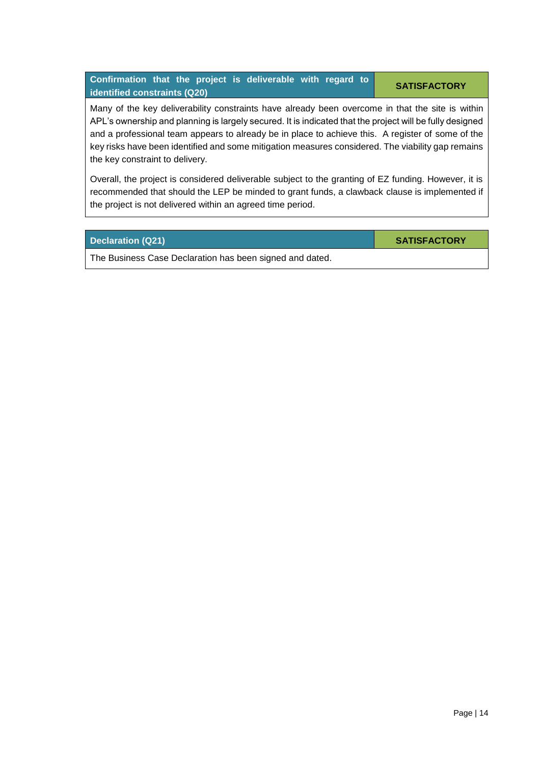Many of the key deliverability constraints have already been overcome in that the site is within APL's ownership and planning is largely secured. It is indicated that the project will be fully designed and a professional team appears to already be in place to achieve this. A register of some of the key risks have been identified and some mitigation measures considered. The viability gap remains the key constraint to delivery.

Overall, the project is considered deliverable subject to the granting of EZ funding. However, it is recommended that should the LEP be minded to grant funds, a clawback clause is implemented if the project is not delivered within an agreed time period.

**Declaration (Q21) SATISFACTORY** 

The Business Case Declaration has been signed and dated.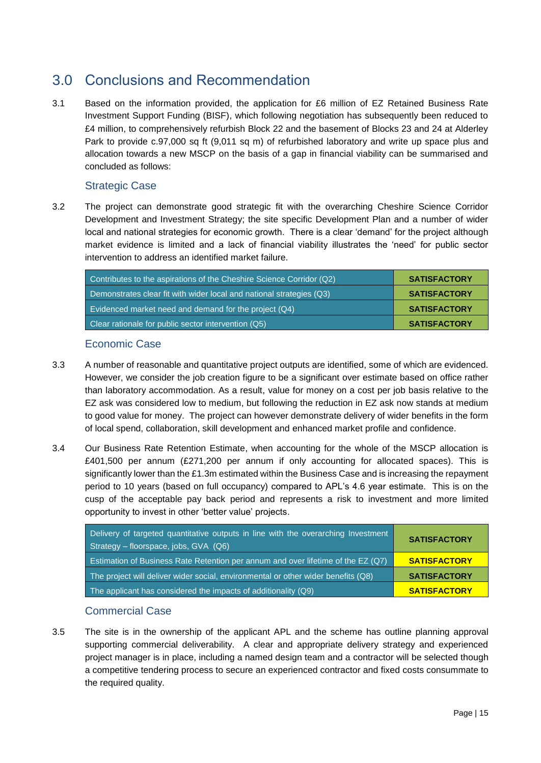# <span id="page-16-0"></span>3.0 Conclusions and Recommendation

3.1 Based on the information provided, the application for £6 million of EZ Retained Business Rate Investment Support Funding (BISF), which following negotiation has subsequently been reduced to £4 million, to comprehensively refurbish Block 22 and the basement of Blocks 23 and 24 at Alderley Park to provide c.97,000 sq ft (9,011 sq m) of refurbished laboratory and write up space plus and allocation towards a new MSCP on the basis of a gap in financial viability can be summarised and concluded as follows:

## Strategic Case

3.2 The project can demonstrate good strategic fit with the overarching Cheshire Science Corridor Development and Investment Strategy; the site specific Development Plan and a number of wider local and national strategies for economic growth. There is a clear 'demand' for the project although market evidence is limited and a lack of financial viability illustrates the 'need' for public sector intervention to address an identified market failure.

| Contributes to the aspirations of the Cheshire Science Corridor (Q2) | <b>SATISFACTORY</b> |
|----------------------------------------------------------------------|---------------------|
| Demonstrates clear fit with wider local and national strategies (Q3) | <b>SATISFACTORY</b> |
| Evidenced market need and demand for the project (Q4)                | <b>SATISFACTORY</b> |
| Clear rationale for public sector intervention (Q5)                  | <b>SATISFACTORY</b> |

## Economic Case

- 3.3 A number of reasonable and quantitative project outputs are identified, some of which are evidenced. However, we consider the job creation figure to be a significant over estimate based on office rather than laboratory accommodation. As a result, value for money on a cost per job basis relative to the EZ ask was considered low to medium, but following the reduction in EZ ask now stands at medium to good value for money. The project can however demonstrate delivery of wider benefits in the form of local spend, collaboration, skill development and enhanced market profile and confidence.
- 3.4 Our Business Rate Retention Estimate, when accounting for the whole of the MSCP allocation is £401,500 per annum (£271,200 per annum if only accounting for allocated spaces). This is significantly lower than the £1.3m estimated within the Business Case and is increasing the repayment period to 10 years (based on full occupancy) compared to APL's 4.6 year estimate. This is on the cusp of the acceptable pay back period and represents a risk to investment and more limited opportunity to invest in other 'better value' projects.

| Delivery of targeted quantitative outputs in line with the overarching Investment<br>Strategy - floorspace, jobs, GVA (Q6) | <b>SATISFACTORY</b> |
|----------------------------------------------------------------------------------------------------------------------------|---------------------|
| Estimation of Business Rate Retention per annum and over lifetime of the EZ (Q7)                                           | <b>SATISFACTORY</b> |
| The project will deliver wider social, environmental or other wider benefits (Q8)                                          | <b>SATISFACTORY</b> |
| The applicant has considered the impacts of additionality (Q9)                                                             | <b>SATISFACTORY</b> |

### Commercial Case

3.5 The site is in the ownership of the applicant APL and the scheme has outline planning approval supporting commercial deliverability. A clear and appropriate delivery strategy and experienced project manager is in place, including a named design team and a contractor will be selected though a competitive tendering process to secure an experienced contractor and fixed costs consummate to the required quality.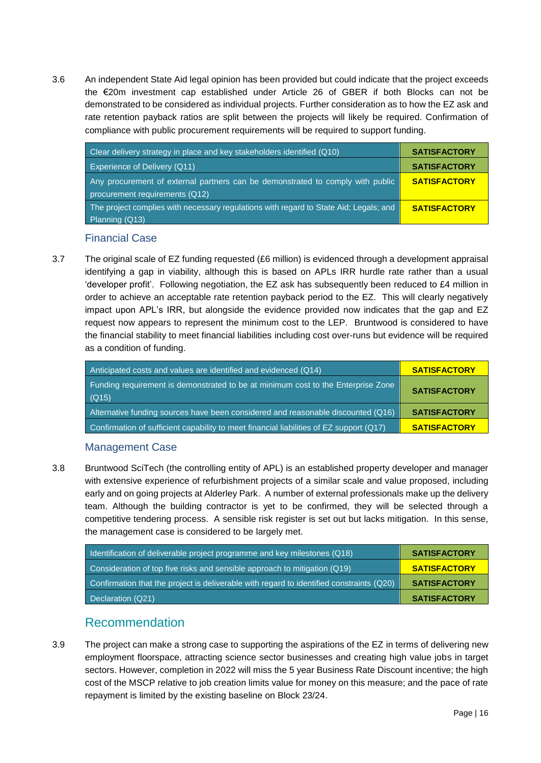3.6 An independent State Aid legal opinion has been provided but could indicate that the project exceeds the €20m investment cap established under Article 26 of GBER if both Blocks can not be demonstrated to be considered as individual projects. Further consideration as to how the EZ ask and rate retention payback ratios are split between the projects will likely be required. Confirmation of compliance with public procurement requirements will be required to support funding.

| Clear delivery strategy in place and key stakeholders identified (Q10)                | <b>SATISFACTORY</b> |
|---------------------------------------------------------------------------------------|---------------------|
| Experience of Delivery (Q11)                                                          | <b>SATISFACTORY</b> |
| Any procurement of external partners can be demonstrated to comply with public        | <b>SATISFACTORY</b> |
| procurement requirements (Q12)                                                        |                     |
| The project complies with necessary regulations with regard to State Aid; Legals; and | <b>SATISFACTORY</b> |
| Planning (Q13)                                                                        |                     |

### Financial Case

3.7 The original scale of EZ funding requested (£6 million) is evidenced through a development appraisal identifying a gap in viability, although this is based on APLs IRR hurdle rate rather than a usual 'developer profit'. Following negotiation, the EZ ask has subsequently been reduced to £4 million in order to achieve an acceptable rate retention payback period to the EZ. This will clearly negatively impact upon APL's IRR, but alongside the evidence provided now indicates that the gap and EZ request now appears to represent the minimum cost to the LEP. Bruntwood is considered to have the financial stability to meet financial liabilities including cost over-runs but evidence will be required as a condition of funding.

| Anticipated costs and values are identified and evidenced (Q14)                           | <b>SATISFACTORY</b> |
|-------------------------------------------------------------------------------------------|---------------------|
| Funding requirement is demonstrated to be at minimum cost to the Enterprise Zone<br>(Q15) | <b>SATISFACTORY</b> |
| Alternative funding sources have been considered and reasonable discounted (Q16)          | <b>SATISFACTORY</b> |
| Confirmation of sufficient capability to meet financial liabilities of EZ support (Q17)   | <b>SATISFACTORY</b> |

### Management Case

3.8 Bruntwood SciTech (the controlling entity of APL) is an established property developer and manager with extensive experience of refurbishment projects of a similar scale and value proposed, including early and on going projects at Alderley Park. A number of external professionals make up the delivery team. Although the building contractor is yet to be confirmed, they will be selected through a competitive tendering process. A sensible risk register is set out but lacks mitigation. In this sense, the management case is considered to be largely met.

| Identification of deliverable project programme and key milestones (Q18)                 | <b>SATISFACTORY</b> |
|------------------------------------------------------------------------------------------|---------------------|
| Consideration of top five risks and sensible approach to mitigation (Q19)                | <b>SATISFACTORY</b> |
| Confirmation that the project is deliverable with regard to identified constraints (Q20) | <b>SATISFACTORY</b> |
| Declaration (Q21)                                                                        | <b>SATISFACTORY</b> |

## Recommendation

3.9 The project can make a strong case to supporting the aspirations of the EZ in terms of delivering new employment floorspace, attracting science sector businesses and creating high value jobs in target sectors. However, completion in 2022 will miss the 5 year Business Rate Discount incentive; the high cost of the MSCP relative to job creation limits value for money on this measure; and the pace of rate repayment is limited by the existing baseline on Block 23/24.